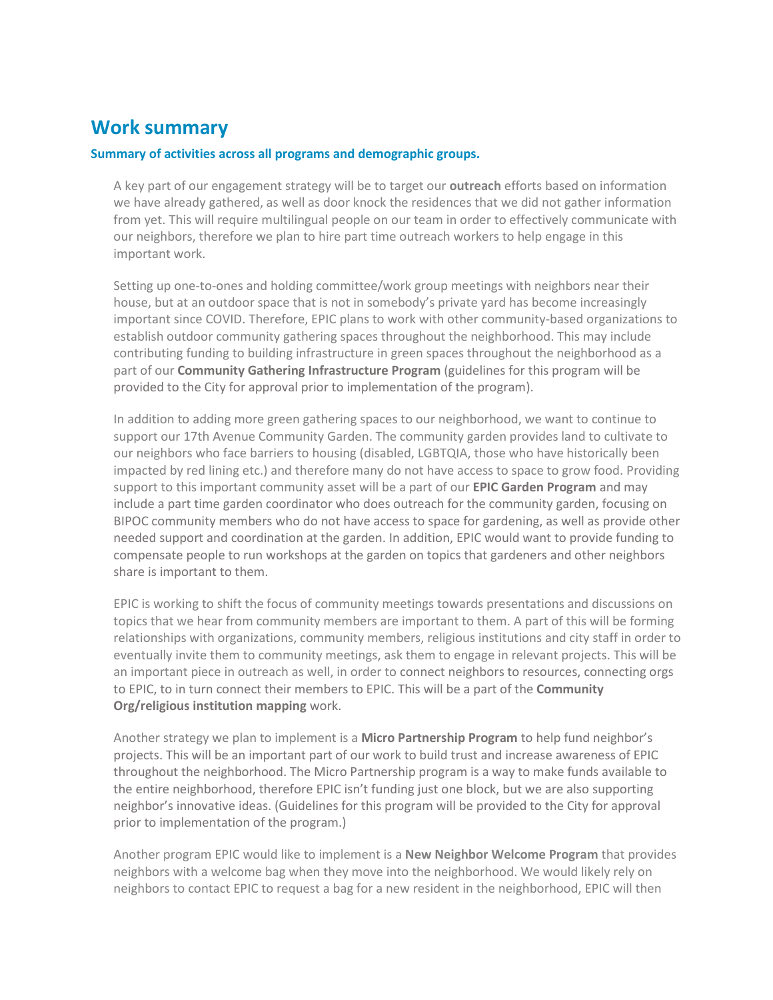## **Work summary**

### **Summary of activities across all programs and demographic groups.**

A key part of our engagement strategy will be to target our **outreach** efforts based on information we have already gathered, as well as door knock the residences that we did not gather information from yet. This will require multilingual people on our team in order to effectively communicate with our neighbors, therefore we plan to hire part time outreach workers to help engage in this important work.

Setting up one-to-ones and holding committee/work group meetings with neighbors near their house, but at an outdoor space that is not in somebody's private yard has become increasingly important since COVID. Therefore, EPIC plans to work with other community-based organizations to establish outdoor community gathering spaces throughout the neighborhood. This may include contributing funding to building infrastructure in green spaces throughout the neighborhood as a part of our **Community Gathering Infrastructure Program** (guidelines for this program will be provided to the City for approval prior to implementation of the program).

In addition to adding more green gathering spaces to our neighborhood, we want to continue to support our 17th Avenue Community Garden. The community garden provides land to cultivate to our neighbors who face barriers to housing (disabled, LGBTQIA, those who have historically been impacted by red lining etc.) and therefore many do not have access to space to grow food. Providing support to this important community asset will be a part of our **EPIC Garden Program** and may include a part time garden coordinator who does outreach for the community garden, focusing on BIPOC community members who do not have access to space for gardening, as well as provide other needed support and coordination at the garden. In addition, EPIC would want to provide funding to compensate people to run workshops at the garden on topics that gardeners and other neighbors share is important to them.

EPIC is working to shift the focus of community meetings towards presentations and discussions on topics that we hear from community members are important to them. A part of this will be forming relationships with organizations, community members, religious institutions and city staff in order to eventually invite them to community meetings, ask them to engage in relevant projects. This will be an important piece in outreach as well, in order to connect neighbors to resources, connecting orgs to EPIC, to in turn connect their members to EPIC. This will be a part of the **Community Org/religious institution mapping** work.

Another strategy we plan to implement is a **Micro Partnership Program** to help fund neighbor's projects. This will be an important part of our work to build trust and increase awareness of EPIC throughout the neighborhood. The Micro Partnership program is a way to make funds available to the entire neighborhood, therefore EPIC isn't funding just one block, but we are also supporting neighbor's innovative ideas. (Guidelines for this program will be provided to the City for approval prior to implementation of the program.)

Another program EPIC would like to implement is a **New Neighbor Welcome Program** that provides neighbors with a welcome bag when they move into the neighborhood. We would likely rely on neighbors to contact EPIC to request a bag for a new resident in the neighborhood, EPIC will then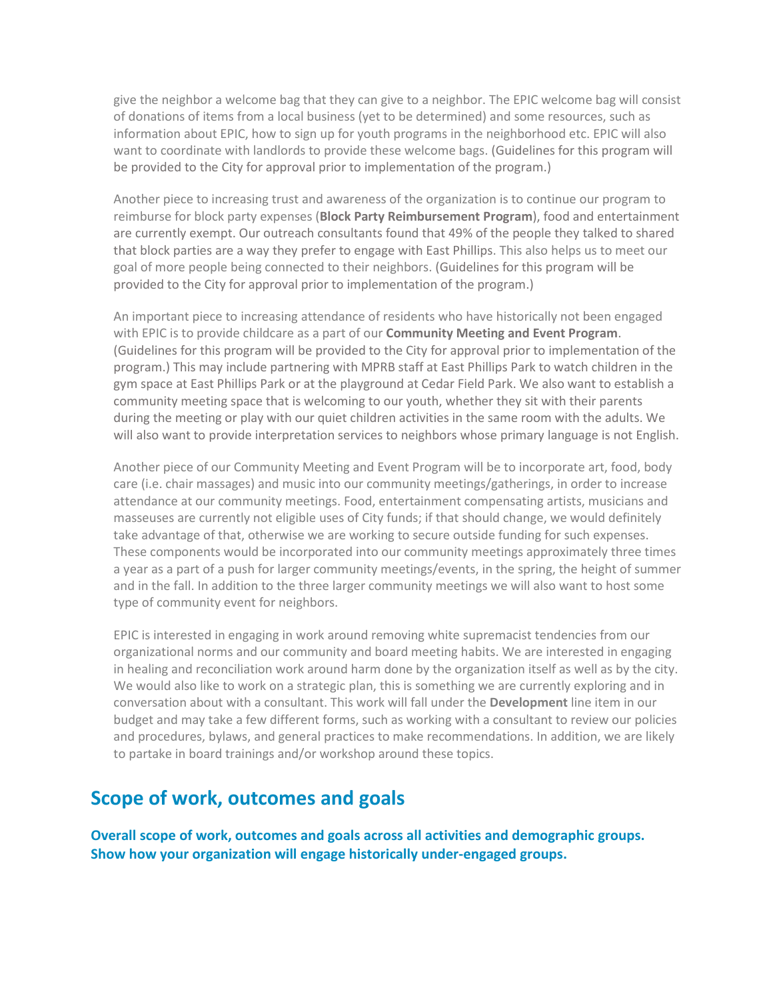give the neighbor a welcome bag that they can give to a neighbor. The EPIC welcome bag will consist of donations of items from a local business (yet to be determined) and some resources, such as information about EPIC, how to sign up for youth programs in the neighborhood etc. EPIC will also want to coordinate with landlords to provide these welcome bags. (Guidelines for this program will be provided to the City for approval prior to implementation of the program.)

Another piece to increasing trust and awareness of the organization is to continue our program to reimburse for block party expenses (**Block Party Reimbursement Program**), food and entertainment are currently exempt. Our outreach consultants found that 49% of the people they talked to shared that block parties are a way they prefer to engage with East Phillips. This also helps us to meet our goal of more people being connected to their neighbors. (Guidelines for this program will be provided to the City for approval prior to implementation of the program.)

An important piece to increasing attendance of residents who have historically not been engaged with EPIC is to provide childcare as a part of our **Community Meeting and Event Program**. (Guidelines for this program will be provided to the City for approval prior to implementation of the program.) This may include partnering with MPRB staff at East Phillips Park to watch children in the gym space at East Phillips Park or at the playground at Cedar Field Park. We also want to establish a community meeting space that is welcoming to our youth, whether they sit with their parents during the meeting or play with our quiet children activities in the same room with the adults. We will also want to provide interpretation services to neighbors whose primary language is not English.

Another piece of our Community Meeting and Event Program will be to incorporate art, food, body care (i.e. chair massages) and music into our community meetings/gatherings, in order to increase attendance at our community meetings. Food, entertainment compensating artists, musicians and masseuses are currently not eligible uses of City funds; if that should change, we would definitely take advantage of that, otherwise we are working to secure outside funding for such expenses. These components would be incorporated into our community meetings approximately three times a year as a part of a push for larger community meetings/events, in the spring, the height of summer and in the fall. In addition to the three larger community meetings we will also want to host some type of community event for neighbors.

EPIC is interested in engaging in work around removing white supremacist tendencies from our organizational norms and our community and board meeting habits. We are interested in engaging in healing and reconciliation work around harm done by the organization itself as well as by the city. We would also like to work on a strategic plan, this is something we are currently exploring and in conversation about with a consultant. This work will fall under the **Development** line item in our budget and may take a few different forms, such as working with a consultant to review our policies and procedures, bylaws, and general practices to make recommendations. In addition, we are likely to partake in board trainings and/or workshop around these topics.

# **Scope of work, outcomes and goals**

**Overall scope of work, outcomes and goals across all activities and demographic groups. Show how your organization will engage historically under-engaged groups.**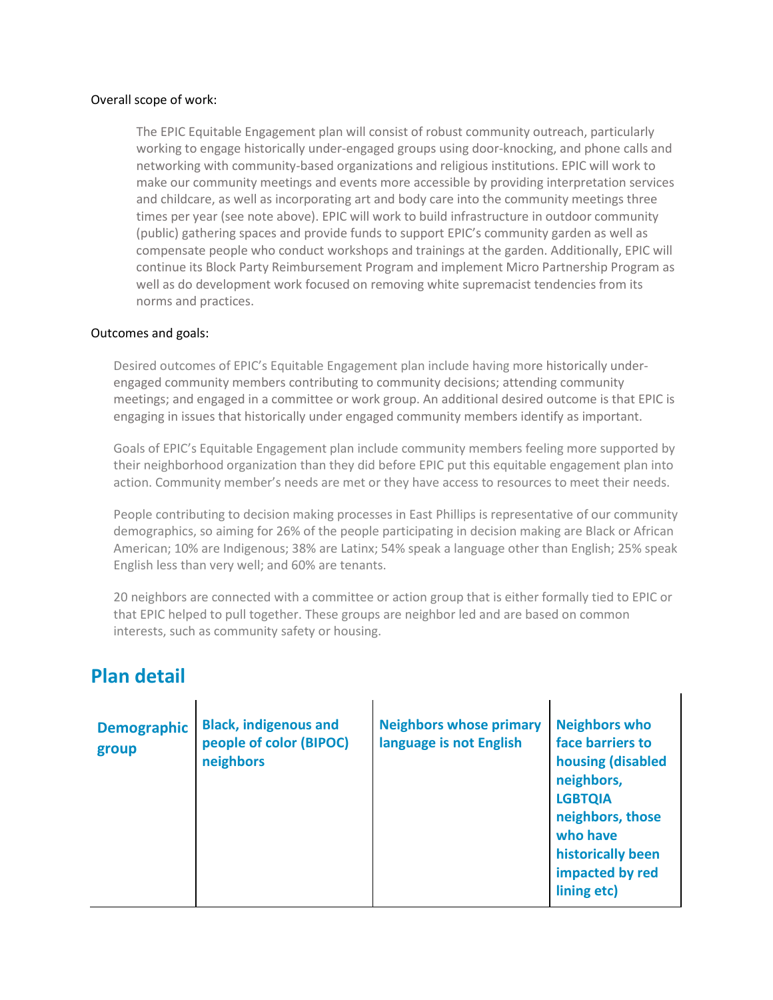### Overall scope of work:

The EPIC Equitable Engagement plan will consist of robust community outreach, particularly working to engage historically under-engaged groups using door-knocking, and phone calls and networking with community-based organizations and religious institutions. EPIC will work to make our community meetings and events more accessible by providing interpretation services and childcare, as well as incorporating art and body care into the community meetings three times per year (see note above). EPIC will work to build infrastructure in outdoor community (public) gathering spaces and provide funds to support EPIC's community garden as well as compensate people who conduct workshops and trainings at the garden. Additionally, EPIC will continue its Block Party Reimbursement Program and implement Micro Partnership Program as well as do development work focused on removing white supremacist tendencies from its norms and practices.

#### Outcomes and goals:

Desired outcomes of EPIC's Equitable Engagement plan include having more historically underengaged community members contributing to community decisions; attending community meetings; and engaged in a committee or work group. An additional desired outcome is that EPIC is engaging in issues that historically under engaged community members identify as important.

Goals of EPIC's Equitable Engagement plan include community members feeling more supported by their neighborhood organization than they did before EPIC put this equitable engagement plan into action. Community member's needs are met or they have access to resources to meet their needs.

People contributing to decision making processes in East Phillips is representative of our community demographics, so aiming for 26% of the people participating in decision making are Black or African American; 10% are Indigenous; 38% are Latinx; 54% speak a language other than English; 25% speak English less than very well; and 60% are tenants.

20 neighbors are connected with a committee or action group that is either formally tied to EPIC or that EPIC helped to pull together. These groups are neighbor led and are based on common interests, such as community safety or housing.

 $\mathbf{I}$ 

### **Plan detail**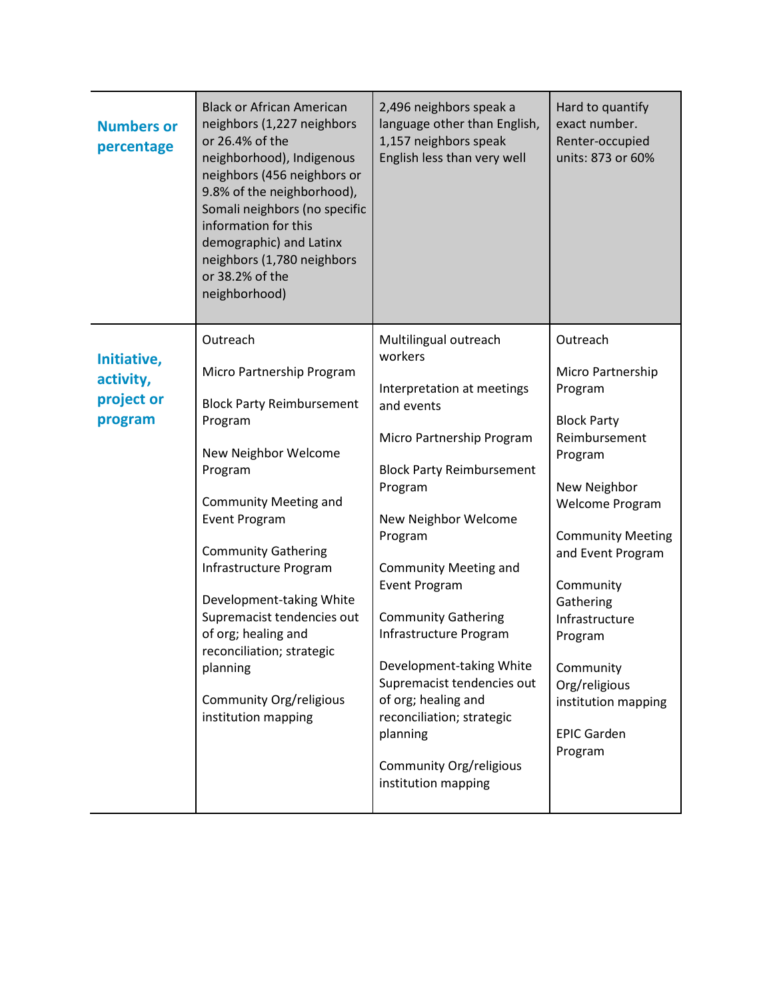| Outreach<br>Multilingual outreach<br>Outreach<br>workers<br>Initiative,<br>Micro Partnership Program<br>Micro Partnership<br>activity,<br>Program<br>Interpretation at meetings<br>project or<br><b>Block Party Reimbursement</b><br>and events<br>program<br><b>Block Party</b><br>Program<br>Reimbursement<br>Micro Partnership Program<br>New Neighbor Welcome<br>Program<br><b>Block Party Reimbursement</b><br>Program<br>Program<br>New Neighbor<br><b>Community Meeting and</b><br><b>Welcome Program</b><br><b>Event Program</b><br>New Neighbor Welcome<br>Program<br><b>Community Meeting</b><br><b>Community Gathering</b><br>and Event Program<br>Infrastructure Program<br><b>Community Meeting and</b><br><b>Event Program</b><br>Community<br>Development-taking White<br>Gathering<br>Supremacist tendencies out<br><b>Community Gathering</b><br>Infrastructure<br>of org; healing and<br>Infrastructure Program<br>Program<br>reconciliation; strategic<br>Development-taking White<br>Community<br>planning<br>Supremacist tendencies out<br>Org/religious<br>of org; healing and<br>Community Org/religious<br>institution mapping<br>institution mapping<br>reconciliation; strategic<br><b>EPIC Garden</b><br>planning<br>Program<br>Community Org/religious<br>institution mapping | <b>Numbers or</b><br>percentage | <b>Black or African American</b><br>neighbors (1,227 neighbors<br>or 26.4% of the<br>neighborhood), Indigenous<br>neighbors (456 neighbors or<br>9.8% of the neighborhood),<br>Somali neighbors (no specific<br>information for this<br>demographic) and Latinx<br>neighbors (1,780 neighbors<br>or 38.2% of the<br>neighborhood) | 2,496 neighbors speak a<br>language other than English,<br>1,157 neighbors speak<br>English less than very well | Hard to quantify<br>exact number.<br>Renter-occupied<br>units: 873 or 60% |
|-----------------------------------------------------------------------------------------------------------------------------------------------------------------------------------------------------------------------------------------------------------------------------------------------------------------------------------------------------------------------------------------------------------------------------------------------------------------------------------------------------------------------------------------------------------------------------------------------------------------------------------------------------------------------------------------------------------------------------------------------------------------------------------------------------------------------------------------------------------------------------------------------------------------------------------------------------------------------------------------------------------------------------------------------------------------------------------------------------------------------------------------------------------------------------------------------------------------------------------------------------------------------------------------------------------|---------------------------------|-----------------------------------------------------------------------------------------------------------------------------------------------------------------------------------------------------------------------------------------------------------------------------------------------------------------------------------|-----------------------------------------------------------------------------------------------------------------|---------------------------------------------------------------------------|
|                                                                                                                                                                                                                                                                                                                                                                                                                                                                                                                                                                                                                                                                                                                                                                                                                                                                                                                                                                                                                                                                                                                                                                                                                                                                                                           |                                 |                                                                                                                                                                                                                                                                                                                                   |                                                                                                                 |                                                                           |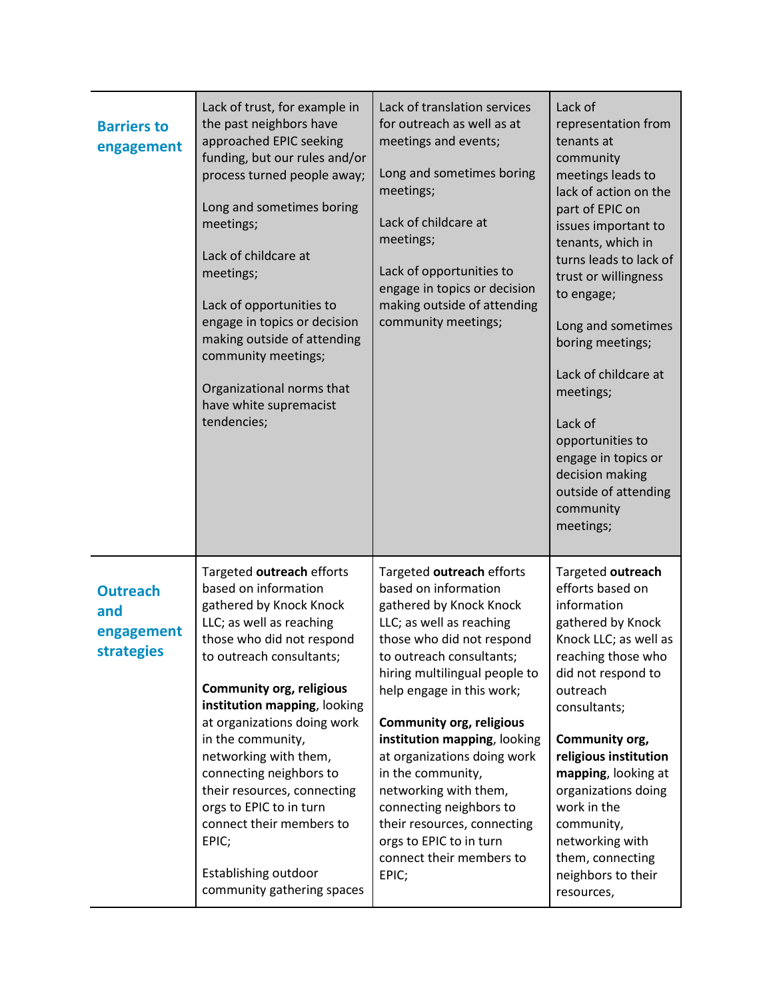| <b>Barriers to</b><br>engagement                          | Lack of trust, for example in<br>the past neighbors have<br>approached EPIC seeking<br>funding, but our rules and/or<br>process turned people away;<br>Long and sometimes boring<br>meetings;<br>Lack of childcare at<br>meetings;<br>Lack of opportunities to<br>engage in topics or decision<br>making outside of attending<br>community meetings;<br>Organizational norms that<br>have white supremacist<br>tendencies;                                                                        | Lack of translation services<br>for outreach as well as at<br>meetings and events;<br>Long and sometimes boring<br>meetings;<br>Lack of childcare at<br>meetings;<br>Lack of opportunities to<br>engage in topics or decision<br>making outside of attending<br>community meetings;                                                                                                                                                                                                                       | Lack of<br>representation from<br>tenants at<br>community<br>meetings leads to<br>lack of action on the<br>part of EPIC on<br>issues important to<br>tenants, which in<br>turns leads to lack of<br>trust or willingness<br>to engage;<br>Long and sometimes<br>boring meetings;<br>Lack of childcare at<br>meetings;<br>Lack of<br>opportunities to<br>engage in topics or<br>decision making<br>outside of attending<br>community<br>meetings; |
|-----------------------------------------------------------|---------------------------------------------------------------------------------------------------------------------------------------------------------------------------------------------------------------------------------------------------------------------------------------------------------------------------------------------------------------------------------------------------------------------------------------------------------------------------------------------------|-----------------------------------------------------------------------------------------------------------------------------------------------------------------------------------------------------------------------------------------------------------------------------------------------------------------------------------------------------------------------------------------------------------------------------------------------------------------------------------------------------------|--------------------------------------------------------------------------------------------------------------------------------------------------------------------------------------------------------------------------------------------------------------------------------------------------------------------------------------------------------------------------------------------------------------------------------------------------|
| <b>Outreach</b><br>and<br>engagement<br><b>strategies</b> | Targeted outreach efforts<br>based on information<br>gathered by Knock Knock<br>LLC; as well as reaching<br>those who did not respond<br>to outreach consultants;<br><b>Community org, religious</b><br>institution mapping, looking<br>at organizations doing work<br>in the community,<br>networking with them,<br>connecting neighbors to<br>their resources, connecting<br>orgs to EPIC to in turn<br>connect their members to<br>EPIC;<br>Establishing outdoor<br>community gathering spaces | Targeted outreach efforts<br>based on information<br>gathered by Knock Knock<br>LLC; as well as reaching<br>those who did not respond<br>to outreach consultants;<br>hiring multilingual people to<br>help engage in this work;<br><b>Community org, religious</b><br>institution mapping, looking<br>at organizations doing work<br>in the community,<br>networking with them,<br>connecting neighbors to<br>their resources, connecting<br>orgs to EPIC to in turn<br>connect their members to<br>EPIC; | Targeted outreach<br>efforts based on<br>information<br>gathered by Knock<br>Knock LLC; as well as<br>reaching those who<br>did not respond to<br>outreach<br>consultants;<br>Community org,<br>religious institution<br>mapping, looking at<br>organizations doing<br>work in the<br>community,<br>networking with<br>them, connecting<br>neighbors to their<br>resources,                                                                      |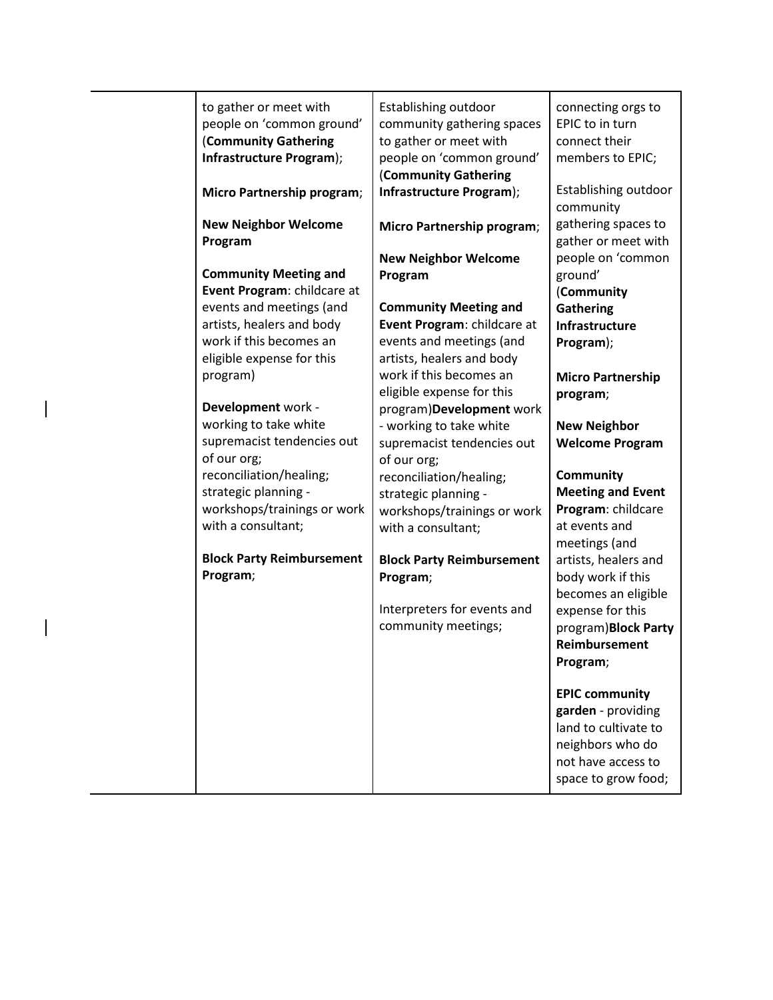| to gather or meet with<br>people on 'common ground'<br>(Community Gathering<br>Infrastructure Program); | Establishing outdoor<br>community gathering spaces<br>to gather or meet with<br>people on 'common ground'<br>(Community Gathering | connecting orgs to<br>EPIC to in turn<br>connect their<br>members to EPIC; |
|---------------------------------------------------------------------------------------------------------|-----------------------------------------------------------------------------------------------------------------------------------|----------------------------------------------------------------------------|
| Micro Partnership program;                                                                              | Infrastructure Program);                                                                                                          | Establishing outdoor<br>community                                          |
| <b>New Neighbor Welcome</b><br>Program                                                                  | Micro Partnership program;                                                                                                        | gathering spaces to<br>gather or meet with                                 |
|                                                                                                         | <b>New Neighbor Welcome</b>                                                                                                       | people on 'common                                                          |
| <b>Community Meeting and</b>                                                                            | Program                                                                                                                           | ground'                                                                    |
| Event Program: childcare at                                                                             |                                                                                                                                   | (Community                                                                 |
| events and meetings (and                                                                                | <b>Community Meeting and</b>                                                                                                      | <b>Gathering</b>                                                           |
| artists, healers and body                                                                               | Event Program: childcare at                                                                                                       | Infrastructure                                                             |
| work if this becomes an                                                                                 | events and meetings (and                                                                                                          | Program);                                                                  |
| eligible expense for this                                                                               | artists, healers and body                                                                                                         |                                                                            |
| program)                                                                                                | work if this becomes an                                                                                                           | <b>Micro Partnership</b>                                                   |
|                                                                                                         | eligible expense for this                                                                                                         | program;                                                                   |
| Development work -                                                                                      | program)Development work                                                                                                          |                                                                            |
| working to take white                                                                                   | - working to take white                                                                                                           | <b>New Neighbor</b>                                                        |
| supremacist tendencies out                                                                              | supremacist tendencies out                                                                                                        | <b>Welcome Program</b>                                                     |
| of our org;                                                                                             | of our org;                                                                                                                       |                                                                            |
| reconciliation/healing;                                                                                 | reconciliation/healing;                                                                                                           | <b>Community</b>                                                           |
| strategic planning -                                                                                    | strategic planning -                                                                                                              | <b>Meeting and Event</b>                                                   |
| workshops/trainings or work                                                                             | workshops/trainings or work                                                                                                       | Program: childcare                                                         |
| with a consultant;                                                                                      | with a consultant;                                                                                                                | at events and                                                              |
|                                                                                                         |                                                                                                                                   | meetings (and                                                              |
| <b>Block Party Reimbursement</b>                                                                        | <b>Block Party Reimbursement</b>                                                                                                  | artists, healers and                                                       |
| Program;                                                                                                | Program;                                                                                                                          | body work if this                                                          |
|                                                                                                         |                                                                                                                                   | becomes an eligible                                                        |
|                                                                                                         | Interpreters for events and                                                                                                       | expense for this                                                           |
|                                                                                                         | community meetings;                                                                                                               | program)Block Party                                                        |
|                                                                                                         |                                                                                                                                   | <b>Reimbursement</b>                                                       |
|                                                                                                         |                                                                                                                                   | Program;                                                                   |
|                                                                                                         |                                                                                                                                   |                                                                            |
|                                                                                                         |                                                                                                                                   | <b>EPIC community</b>                                                      |
|                                                                                                         |                                                                                                                                   | garden - providing                                                         |
|                                                                                                         |                                                                                                                                   | land to cultivate to                                                       |
|                                                                                                         |                                                                                                                                   | neighbors who do                                                           |
|                                                                                                         |                                                                                                                                   | not have access to                                                         |
|                                                                                                         |                                                                                                                                   | space to grow food;                                                        |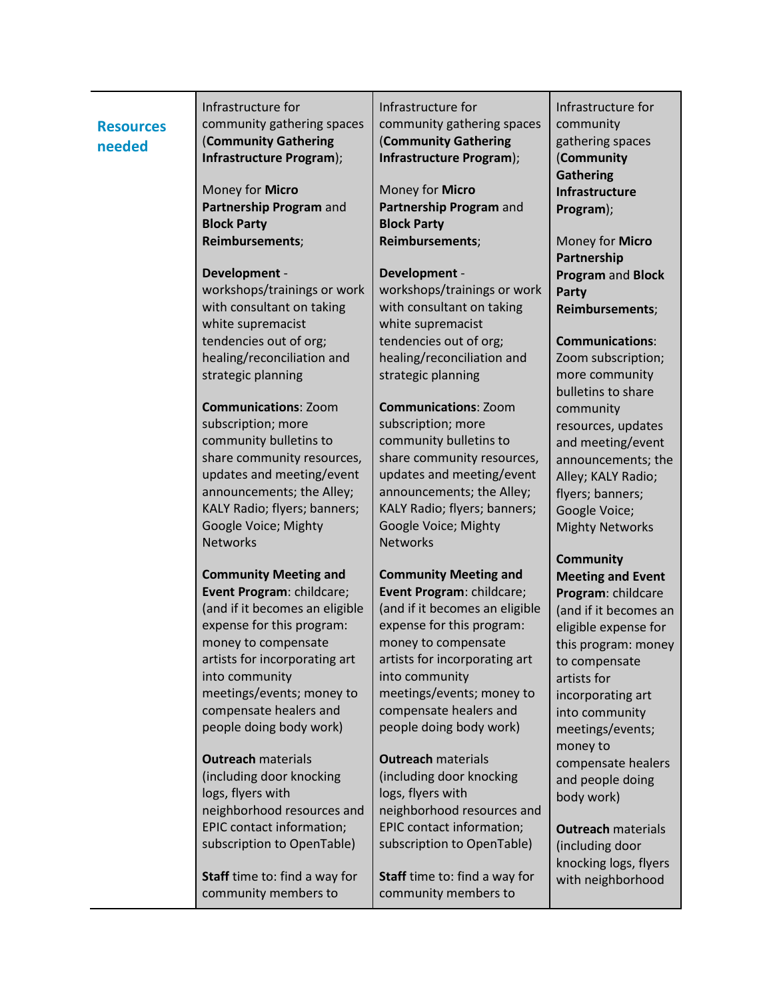| <b>Resources</b><br>needed | Infrastructure for<br>community gathering spaces<br>(Community Gathering<br>Infrastructure Program);                                                                                                                                                                                 | Infrastructure for<br>community gathering spaces<br>(Community Gathering<br>Infrastructure Program);                                                                                                                                                                                 | Infrastructure for<br>community<br>gathering spaces<br>(Community<br><b>Gathering</b>                                                                                                                                         |
|----------------------------|--------------------------------------------------------------------------------------------------------------------------------------------------------------------------------------------------------------------------------------------------------------------------------------|--------------------------------------------------------------------------------------------------------------------------------------------------------------------------------------------------------------------------------------------------------------------------------------|-------------------------------------------------------------------------------------------------------------------------------------------------------------------------------------------------------------------------------|
|                            | Money for Micro<br>Partnership Program and<br><b>Block Party</b>                                                                                                                                                                                                                     | Money for Micro<br>Partnership Program and<br><b>Block Party</b>                                                                                                                                                                                                                     | Infrastructure<br>Program);                                                                                                                                                                                                   |
|                            | Reimbursements;                                                                                                                                                                                                                                                                      | Reimbursements;                                                                                                                                                                                                                                                                      | Money for Micro<br>Partnership                                                                                                                                                                                                |
|                            | Development -<br>workshops/trainings or work<br>with consultant on taking<br>white supremacist                                                                                                                                                                                       | Development -<br>workshops/trainings or work<br>with consultant on taking<br>white supremacist                                                                                                                                                                                       | Program and Block<br>Party<br>Reimbursements;                                                                                                                                                                                 |
|                            | tendencies out of org;<br>healing/reconciliation and<br>strategic planning                                                                                                                                                                                                           | tendencies out of org;<br>healing/reconciliation and<br>strategic planning                                                                                                                                                                                                           | <b>Communications:</b><br>Zoom subscription;<br>more community<br>bulletins to share                                                                                                                                          |
|                            | <b>Communications: Zoom</b><br>subscription; more<br>community bulletins to<br>share community resources,<br>updates and meeting/event<br>announcements; the Alley;<br>KALY Radio; flyers; banners;<br>Google Voice; Mighty<br><b>Networks</b>                                       | <b>Communications: Zoom</b><br>subscription; more<br>community bulletins to<br>share community resources,<br>updates and meeting/event<br>announcements; the Alley;<br>KALY Radio; flyers; banners;<br>Google Voice; Mighty<br><b>Networks</b>                                       | community<br>resources, updates<br>and meeting/event<br>announcements; the<br>Alley; KALY Radio;<br>flyers; banners;<br>Google Voice;<br><b>Mighty Networks</b>                                                               |
|                            |                                                                                                                                                                                                                                                                                      |                                                                                                                                                                                                                                                                                      | <b>Community</b>                                                                                                                                                                                                              |
|                            | <b>Community Meeting and</b><br>Event Program: childcare;<br>(and if it becomes an eligible<br>expense for this program:<br>money to compensate<br>artists for incorporating art<br>into community<br>meetings/events; money to<br>compensate healers and<br>people doing body work) | <b>Community Meeting and</b><br>Event Program: childcare;<br>(and if it becomes an eligible<br>expense for this program:<br>money to compensate<br>artists for incorporating art<br>into community<br>meetings/events; money to<br>compensate healers and<br>people doing body work) | <b>Meeting and Event</b><br>Program: childcare<br>(and if it becomes an<br>eligible expense for<br>this program: money<br>to compensate<br>artists for<br>incorporating art<br>into community<br>meetings/events;<br>money to |
|                            | <b>Outreach materials</b><br>(including door knocking<br>logs, flyers with<br>neighborhood resources and                                                                                                                                                                             | <b>Outreach materials</b><br>(including door knocking<br>logs, flyers with<br>neighborhood resources and                                                                                                                                                                             | compensate healers<br>and people doing<br>body work)                                                                                                                                                                          |
|                            | EPIC contact information;<br>subscription to OpenTable)                                                                                                                                                                                                                              | EPIC contact information;<br>subscription to OpenTable)                                                                                                                                                                                                                              | <b>Outreach materials</b><br>(including door                                                                                                                                                                                  |
|                            | <b>Staff</b> time to: find a way for<br>community members to                                                                                                                                                                                                                         | Staff time to: find a way for<br>community members to                                                                                                                                                                                                                                | knocking logs, flyers<br>with neighborhood                                                                                                                                                                                    |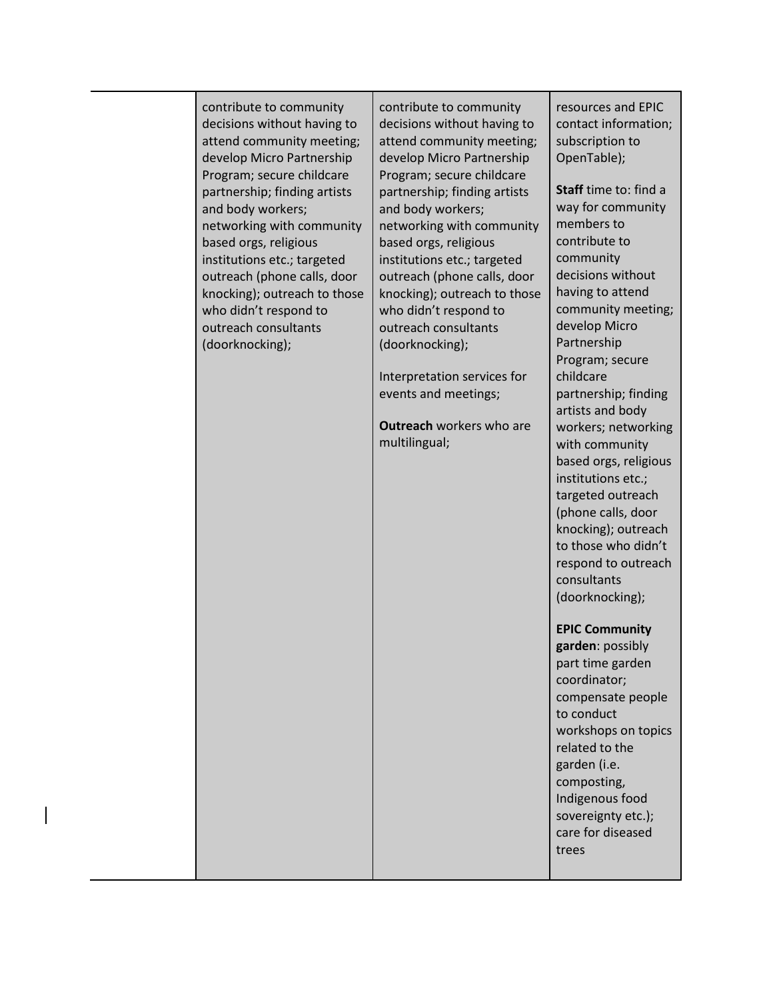| contribute to community<br>decisions without having to<br>attend community meeting;<br>develop Micro Partnership<br>Program; secure childcare<br>partnership; finding artists<br>and body workers;<br>networking with community<br>based orgs, religious<br>institutions etc.; targeted<br>outreach (phone calls, door<br>knocking); outreach to those<br>who didn't respond to<br>outreach consultants<br>(doorknocking); | contribute to community<br>decisions without having to<br>attend community meeting;<br>develop Micro Partnership<br>Program; secure childcare<br>partnership; finding artists<br>and body workers;<br>networking with community<br>based orgs, religious<br>institutions etc.; targeted<br>outreach (phone calls, door<br>knocking); outreach to those<br>who didn't respond to<br>outreach consultants<br>(doorknocking);<br>Interpretation services for<br>events and meetings;<br><b>Outreach workers who are</b><br>multilingual; | resources and EPIC<br>contact information;<br>subscription to<br>OpenTable);<br>Staff time to: find a<br>way for community<br>members to<br>contribute to<br>community<br>decisions without<br>having to attend<br>community meeting;<br>develop Micro<br>Partnership<br>Program; secure<br>childcare<br>partnership; finding<br>artists and body<br>workers; networking<br>with community<br>based orgs, religious<br>institutions etc.;<br>targeted outreach<br>(phone calls, door<br>knocking); outreach<br>to those who didn't<br>respond to outreach<br>consultants<br>(doorknocking);<br><b>EPIC Community</b><br>garden: possibly<br>part time garden<br>coordinator;<br>compensate people |
|----------------------------------------------------------------------------------------------------------------------------------------------------------------------------------------------------------------------------------------------------------------------------------------------------------------------------------------------------------------------------------------------------------------------------|---------------------------------------------------------------------------------------------------------------------------------------------------------------------------------------------------------------------------------------------------------------------------------------------------------------------------------------------------------------------------------------------------------------------------------------------------------------------------------------------------------------------------------------|---------------------------------------------------------------------------------------------------------------------------------------------------------------------------------------------------------------------------------------------------------------------------------------------------------------------------------------------------------------------------------------------------------------------------------------------------------------------------------------------------------------------------------------------------------------------------------------------------------------------------------------------------------------------------------------------------|
|                                                                                                                                                                                                                                                                                                                                                                                                                            |                                                                                                                                                                                                                                                                                                                                                                                                                                                                                                                                       | to conduct<br>workshops on topics<br>related to the<br>garden (i.e.<br>composting,<br>Indigenous food<br>sovereignty etc.);<br>care for diseased<br>trees                                                                                                                                                                                                                                                                                                                                                                                                                                                                                                                                         |
|                                                                                                                                                                                                                                                                                                                                                                                                                            |                                                                                                                                                                                                                                                                                                                                                                                                                                                                                                                                       |                                                                                                                                                                                                                                                                                                                                                                                                                                                                                                                                                                                                                                                                                                   |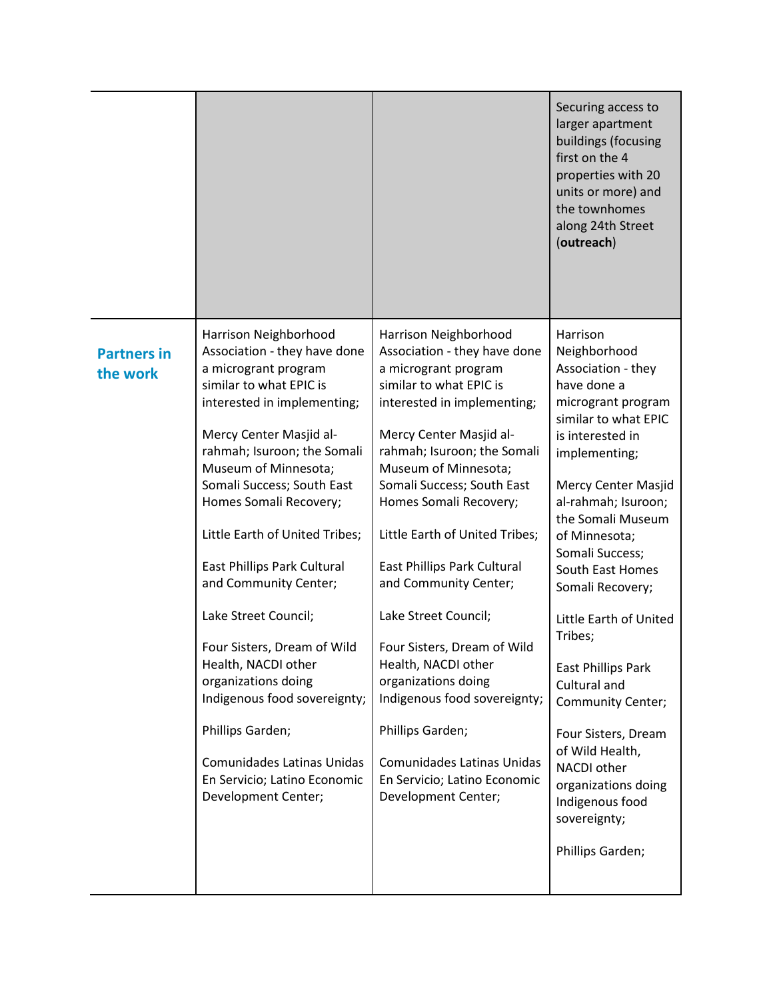|                                |                                                                                                                                                                                                                                                                                                                                                                                                                                                                                                                                                                                                                                         |                                                                                                                                                                                                                                                                                                                                                                                                                                                                                                                                                                                                                                  | Securing access to<br>larger apartment<br>buildings (focusing<br>first on the 4<br>properties with 20<br>units or more) and<br>the townhomes<br>along 24th Street<br>(outreach)                                                                                                                                                                                                                                                                                                                                                        |
|--------------------------------|-----------------------------------------------------------------------------------------------------------------------------------------------------------------------------------------------------------------------------------------------------------------------------------------------------------------------------------------------------------------------------------------------------------------------------------------------------------------------------------------------------------------------------------------------------------------------------------------------------------------------------------------|----------------------------------------------------------------------------------------------------------------------------------------------------------------------------------------------------------------------------------------------------------------------------------------------------------------------------------------------------------------------------------------------------------------------------------------------------------------------------------------------------------------------------------------------------------------------------------------------------------------------------------|----------------------------------------------------------------------------------------------------------------------------------------------------------------------------------------------------------------------------------------------------------------------------------------------------------------------------------------------------------------------------------------------------------------------------------------------------------------------------------------------------------------------------------------|
| <b>Partners in</b><br>the work | Harrison Neighborhood<br>Association - they have done<br>a microgrant program<br>similar to what EPIC is<br>interested in implementing;<br>Mercy Center Masjid al-<br>rahmah; Isuroon; the Somali<br>Museum of Minnesota;<br>Somali Success; South East<br>Homes Somali Recovery;<br>Little Earth of United Tribes;<br><b>East Phillips Park Cultural</b><br>and Community Center;<br>Lake Street Council;<br>Four Sisters, Dream of Wild<br>Health, NACDI other<br>organizations doing<br>Indigenous food sovereignty;<br>Phillips Garden;<br>Comunidades Latinas Unidas<br>En Servicio; Latino Economic<br><b>Development Center;</b> | Harrison Neighborhood<br>Association - they have done<br>a microgrant program<br>similar to what EPIC is<br>interested in implementing;<br>Mercy Center Masjid al-<br>rahmah; Isuroon; the Somali<br>Museum of Minnesota;<br>Somali Success; South East<br>Homes Somali Recovery;<br>Little Earth of United Tribes;<br>East Phillips Park Cultural<br>and Community Center;<br>Lake Street Council;<br>Four Sisters, Dream of Wild<br>Health, NACDI other<br>organizations doing<br>Indigenous food sovereignty;<br>Phillips Garden;<br><b>Comunidades Latinas Unidas</b><br>En Servicio; Latino Economic<br>Development Center; | Harrison<br>Neighborhood<br>Association - they<br>have done a<br>microgrant program<br>similar to what EPIC<br>is interested in<br>implementing;<br>Mercy Center Masjid<br>al-rahmah; Isuroon;<br>the Somali Museum<br>of Minnesota;<br>Somali Success;<br>South East Homes<br>Somali Recovery;<br>Little Earth of United<br>Tribes;<br>East Phillips Park<br>Cultural and<br>Community Center;<br>Four Sisters, Dream<br>of Wild Health,<br>NACDI other<br>organizations doing<br>Indigenous food<br>sovereignty;<br>Phillips Garden; |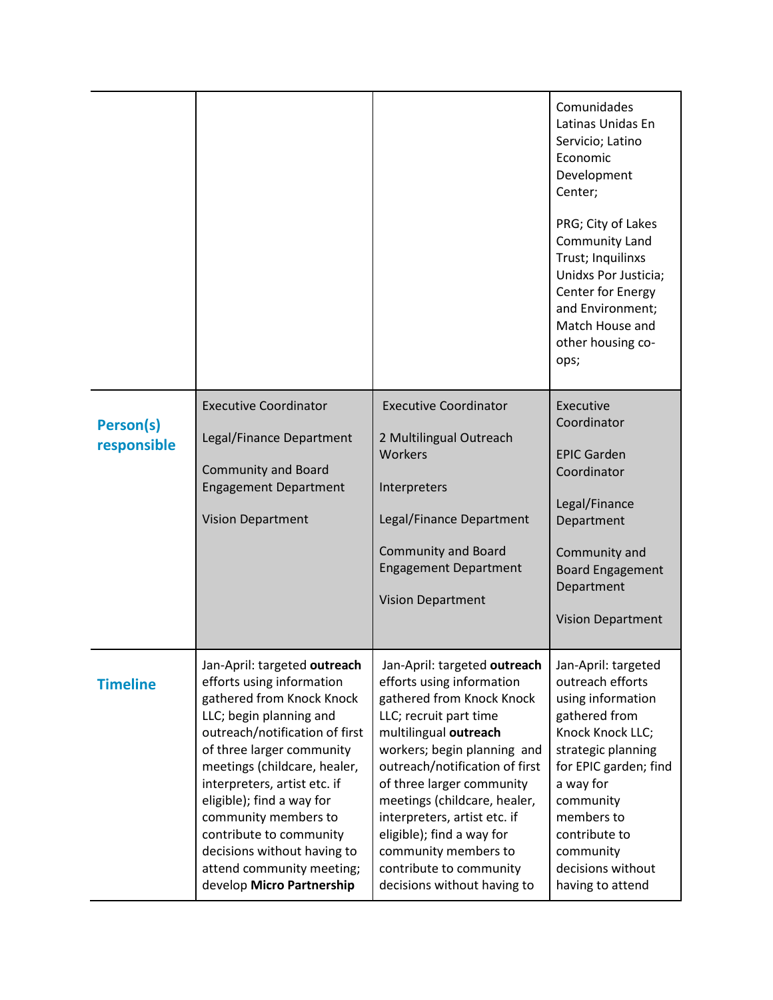|                          |                                                                                                                                                                                                                                                                                                                                                                                                                           |                                                                                                                                                                                                                                                                                                                                                                                                                        | Comunidades<br>Latinas Unidas En<br>Servicio; Latino<br>Economic<br>Development<br>Center;<br>PRG; City of Lakes<br>Community Land<br>Trust; Inquilinxs<br>Unidxs Por Justicia;<br>Center for Energy<br>and Environment;<br>Match House and<br>other housing co-<br>ops; |
|--------------------------|---------------------------------------------------------------------------------------------------------------------------------------------------------------------------------------------------------------------------------------------------------------------------------------------------------------------------------------------------------------------------------------------------------------------------|------------------------------------------------------------------------------------------------------------------------------------------------------------------------------------------------------------------------------------------------------------------------------------------------------------------------------------------------------------------------------------------------------------------------|--------------------------------------------------------------------------------------------------------------------------------------------------------------------------------------------------------------------------------------------------------------------------|
| Person(s)<br>responsible | <b>Executive Coordinator</b><br>Legal/Finance Department<br><b>Community and Board</b><br><b>Engagement Department</b><br><b>Vision Department</b>                                                                                                                                                                                                                                                                        | <b>Executive Coordinator</b><br>2 Multilingual Outreach<br>Workers<br>Interpreters<br>Legal/Finance Department<br><b>Community and Board</b><br><b>Engagement Department</b><br><b>Vision Department</b>                                                                                                                                                                                                               | Executive<br>Coordinator<br><b>EPIC Garden</b><br>Coordinator<br>Legal/Finance<br>Department<br>Community and<br><b>Board Engagement</b><br>Department<br><b>Vision Department</b>                                                                                       |
| <b>Timeline</b>          | Jan-April: targeted outreach<br>efforts using information<br>gathered from Knock Knock<br>LLC; begin planning and<br>outreach/notification of first<br>of three larger community<br>meetings (childcare, healer,<br>interpreters, artist etc. if<br>eligible); find a way for<br>community members to<br>contribute to community<br>decisions without having to<br>attend community meeting;<br>develop Micro Partnership | Jan-April: targeted outreach<br>efforts using information<br>gathered from Knock Knock<br>LLC; recruit part time<br>multilingual outreach<br>workers; begin planning and<br>outreach/notification of first<br>of three larger community<br>meetings (childcare, healer,<br>interpreters, artist etc. if<br>eligible); find a way for<br>community members to<br>contribute to community<br>decisions without having to | Jan-April: targeted<br>outreach efforts<br>using information<br>gathered from<br>Knock Knock LLC;<br>strategic planning<br>for EPIC garden; find<br>a way for<br>community<br>members to<br>contribute to<br>community<br>decisions without<br>having to attend          |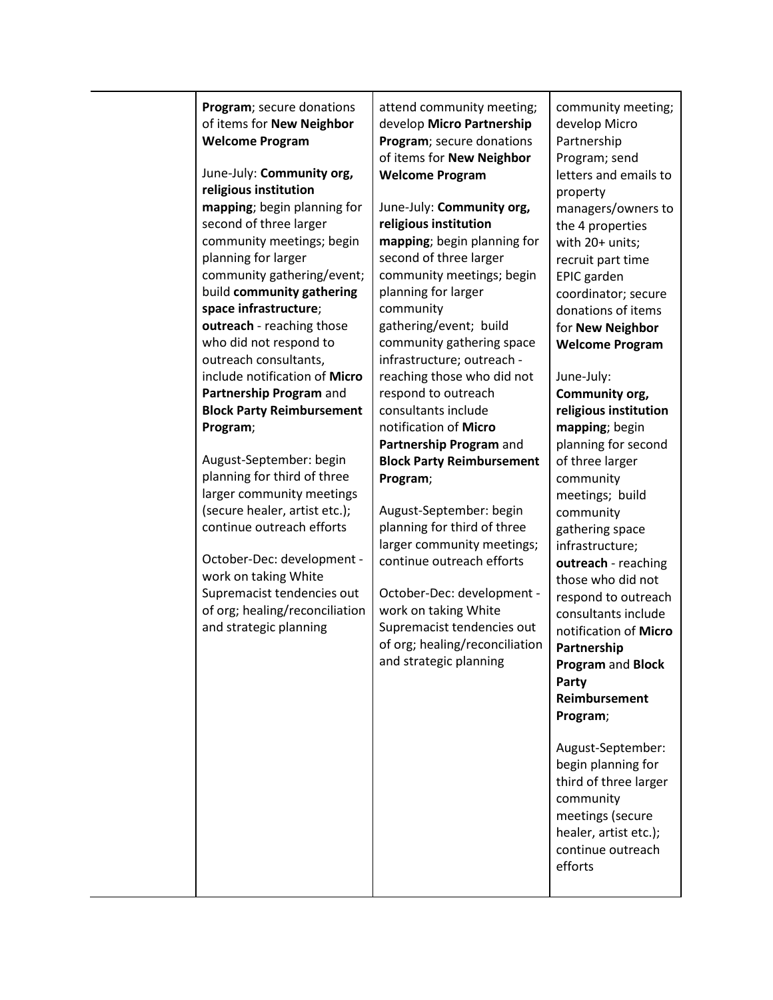| Program; secure donations<br>of items for New Neighbor<br><b>Welcome Program</b>                                                                                                                                                                                                                                                                                                                                                                                                                                                                                                                                                                                                               | attend community meeting;<br>develop Micro Partnership<br>Program; secure donations<br>of items for New Neighbor                                                                                                                                                                                                                                                                                                                                                                                                                                                                                                                                                                                                       | community meeting;<br>develop Micro<br>Partnership                                                                                                                                                                                                                                                                                                                                                                                                                                                                                                                                                                                                                                                                                           |
|------------------------------------------------------------------------------------------------------------------------------------------------------------------------------------------------------------------------------------------------------------------------------------------------------------------------------------------------------------------------------------------------------------------------------------------------------------------------------------------------------------------------------------------------------------------------------------------------------------------------------------------------------------------------------------------------|------------------------------------------------------------------------------------------------------------------------------------------------------------------------------------------------------------------------------------------------------------------------------------------------------------------------------------------------------------------------------------------------------------------------------------------------------------------------------------------------------------------------------------------------------------------------------------------------------------------------------------------------------------------------------------------------------------------------|----------------------------------------------------------------------------------------------------------------------------------------------------------------------------------------------------------------------------------------------------------------------------------------------------------------------------------------------------------------------------------------------------------------------------------------------------------------------------------------------------------------------------------------------------------------------------------------------------------------------------------------------------------------------------------------------------------------------------------------------|
| June-July: Community org,                                                                                                                                                                                                                                                                                                                                                                                                                                                                                                                                                                                                                                                                      | <b>Welcome Program</b>                                                                                                                                                                                                                                                                                                                                                                                                                                                                                                                                                                                                                                                                                                 | letters and emails to                                                                                                                                                                                                                                                                                                                                                                                                                                                                                                                                                                                                                                                                                                                        |
| religious institution                                                                                                                                                                                                                                                                                                                                                                                                                                                                                                                                                                                                                                                                          |                                                                                                                                                                                                                                                                                                                                                                                                                                                                                                                                                                                                                                                                                                                        | property                                                                                                                                                                                                                                                                                                                                                                                                                                                                                                                                                                                                                                                                                                                                     |
| mapping; begin planning for<br>second of three larger<br>community meetings; begin<br>planning for larger<br>community gathering/event;<br>build community gathering<br>space infrastructure;<br>outreach - reaching those<br>who did not respond to<br>outreach consultants,<br>include notification of Micro<br>Partnership Program and<br><b>Block Party Reimbursement</b><br>Program;<br>August-September: begin<br>planning for third of three<br>larger community meetings<br>(secure healer, artist etc.);<br>continue outreach efforts<br>October-Dec: development -<br>work on taking White<br>Supremacist tendencies out<br>of org; healing/reconciliation<br>and strategic planning | June-July: Community org,<br>religious institution<br>mapping; begin planning for<br>second of three larger<br>community meetings; begin<br>planning for larger<br>community<br>gathering/event; build<br>community gathering space<br>infrastructure; outreach -<br>reaching those who did not<br>respond to outreach<br>consultants include<br>notification of Micro<br>Partnership Program and<br><b>Block Party Reimbursement</b><br>Program;<br>August-September: begin<br>planning for third of three<br>larger community meetings;<br>continue outreach efforts<br>October-Dec: development -<br>work on taking White<br>Supremacist tendencies out<br>of org; healing/reconciliation<br>and strategic planning | Program; send<br>managers/owners to<br>the 4 properties<br>with 20+ units;<br>recruit part time<br>EPIC garden<br>coordinator; secure<br>donations of items<br>for New Neighbor<br><b>Welcome Program</b><br>June-July:<br>Community org,<br>religious institution<br>mapping; begin<br>planning for second<br>of three larger<br>community<br>meetings; build<br>community<br>gathering space<br>infrastructure;<br>outreach - reaching<br>those who did not<br>respond to outreach<br>consultants include<br>notification of Micro<br>Partnership<br>Program and Block<br>Party<br>Reimbursement<br>Program;<br>August-September:<br>begin planning for<br>third of three larger<br>community<br>meetings (secure<br>healer, artist etc.); |
|                                                                                                                                                                                                                                                                                                                                                                                                                                                                                                                                                                                                                                                                                                |                                                                                                                                                                                                                                                                                                                                                                                                                                                                                                                                                                                                                                                                                                                        | continue outreach<br>efforts                                                                                                                                                                                                                                                                                                                                                                                                                                                                                                                                                                                                                                                                                                                 |
|                                                                                                                                                                                                                                                                                                                                                                                                                                                                                                                                                                                                                                                                                                |                                                                                                                                                                                                                                                                                                                                                                                                                                                                                                                                                                                                                                                                                                                        |                                                                                                                                                                                                                                                                                                                                                                                                                                                                                                                                                                                                                                                                                                                                              |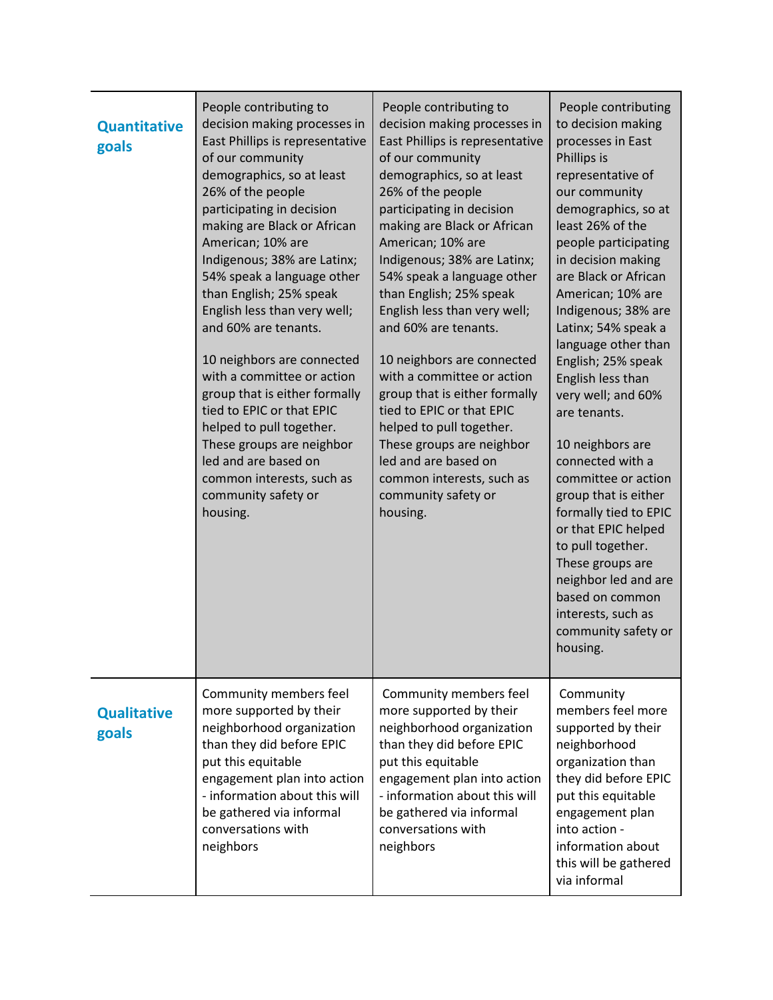| <b>Quantitative</b><br>goals | People contributing to<br>decision making processes in<br>East Phillips is representative<br>of our community<br>demographics, so at least<br>26% of the people<br>participating in decision<br>making are Black or African<br>American; 10% are<br>Indigenous; 38% are Latinx;<br>54% speak a language other<br>than English; 25% speak<br>English less than very well;<br>and 60% are tenants.<br>10 neighbors are connected<br>with a committee or action<br>group that is either formally<br>tied to EPIC or that EPIC<br>helped to pull together.<br>These groups are neighbor<br>led and are based on<br>common interests, such as<br>community safety or<br>housing. | People contributing to<br>decision making processes in<br>East Phillips is representative<br>of our community<br>demographics, so at least<br>26% of the people<br>participating in decision<br>making are Black or African<br>American; 10% are<br>Indigenous; 38% are Latinx;<br>54% speak a language other<br>than English; 25% speak<br>English less than very well;<br>and 60% are tenants.<br>10 neighbors are connected<br>with a committee or action<br>group that is either formally<br>tied to EPIC or that EPIC<br>helped to pull together.<br>These groups are neighbor<br>led and are based on<br>common interests, such as<br>community safety or<br>housing. | People contributing<br>to decision making<br>processes in East<br>Phillips is<br>representative of<br>our community<br>demographics, so at<br>least 26% of the<br>people participating<br>in decision making<br>are Black or African<br>American; 10% are<br>Indigenous; 38% are<br>Latinx; 54% speak a<br>language other than<br>English; 25% speak<br>English less than<br>very well; and 60%<br>are tenants.<br>10 neighbors are<br>connected with a<br>committee or action<br>group that is either<br>formally tied to EPIC<br>or that EPIC helped<br>to pull together.<br>These groups are<br>neighbor led and are<br>based on common<br>interests, such as<br>community safety or<br>housing. |
|------------------------------|-----------------------------------------------------------------------------------------------------------------------------------------------------------------------------------------------------------------------------------------------------------------------------------------------------------------------------------------------------------------------------------------------------------------------------------------------------------------------------------------------------------------------------------------------------------------------------------------------------------------------------------------------------------------------------|-----------------------------------------------------------------------------------------------------------------------------------------------------------------------------------------------------------------------------------------------------------------------------------------------------------------------------------------------------------------------------------------------------------------------------------------------------------------------------------------------------------------------------------------------------------------------------------------------------------------------------------------------------------------------------|-----------------------------------------------------------------------------------------------------------------------------------------------------------------------------------------------------------------------------------------------------------------------------------------------------------------------------------------------------------------------------------------------------------------------------------------------------------------------------------------------------------------------------------------------------------------------------------------------------------------------------------------------------------------------------------------------------|
| <b>Qualitative</b><br>goals  | Community members feel<br>more supported by their<br>neighborhood organization<br>than they did before EPIC<br>put this equitable<br>engagement plan into action<br>- information about this will<br>be gathered via informal<br>conversations with<br>neighbors                                                                                                                                                                                                                                                                                                                                                                                                            | Community members feel<br>more supported by their<br>neighborhood organization<br>than they did before EPIC<br>put this equitable<br>engagement plan into action<br>- information about this will<br>be gathered via informal<br>conversations with<br>neighbors                                                                                                                                                                                                                                                                                                                                                                                                            | Community<br>members feel more<br>supported by their<br>neighborhood<br>organization than<br>they did before EPIC<br>put this equitable<br>engagement plan<br>into action -<br>information about<br>this will be gathered<br>via informal                                                                                                                                                                                                                                                                                                                                                                                                                                                           |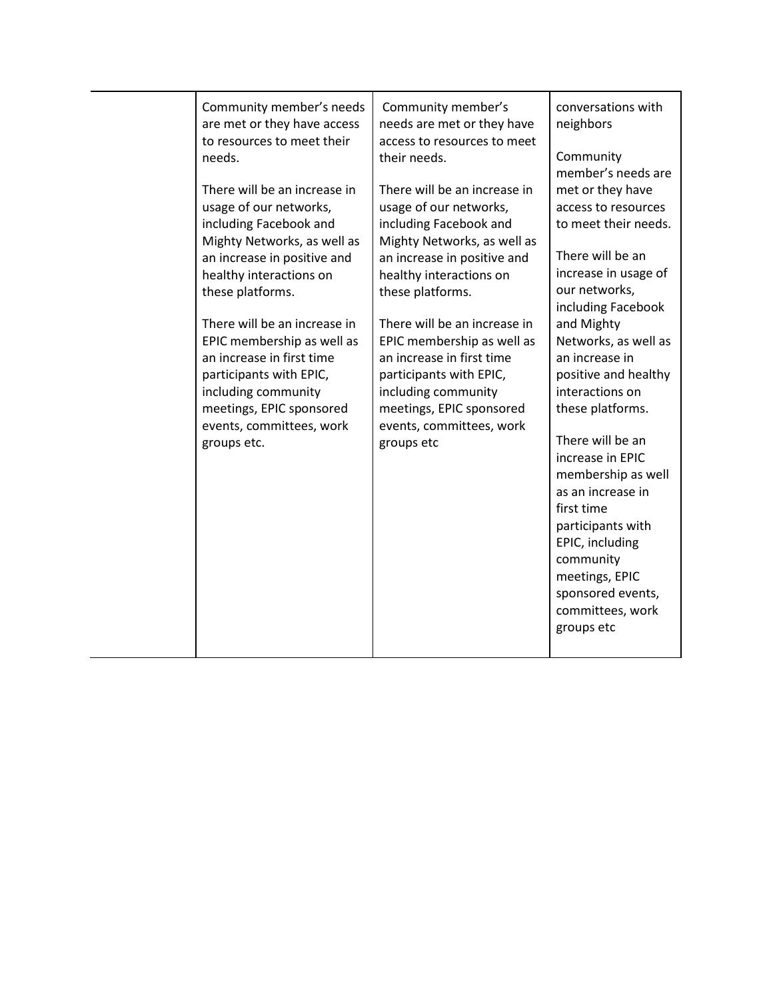| Community member's needs<br>are met or they have access<br>to resources to meet their<br>needs.<br>There will be an increase in<br>usage of our networks,<br>including Facebook and<br>Mighty Networks, as well as<br>an increase in positive and<br>healthy interactions on<br>these platforms.<br>There will be an increase in<br>EPIC membership as well as<br>an increase in first time<br>participants with EPIC,<br>including community<br>meetings, EPIC sponsored<br>events, committees, work<br>groups etc. | Community member's<br>needs are met or they have<br>access to resources to meet<br>their needs.<br>There will be an increase in<br>usage of our networks,<br>including Facebook and<br>Mighty Networks, as well as<br>an increase in positive and<br>healthy interactions on<br>these platforms.<br>There will be an increase in<br>EPIC membership as well as<br>an increase in first time<br>participants with EPIC,<br>including community<br>meetings, EPIC sponsored<br>events, committees, work<br>groups etc | conversations with<br>neighbors<br>Community<br>member's needs are<br>met or they have<br>access to resources<br>to meet their needs.<br>There will be an<br>increase in usage of<br>our networks,<br>including Facebook<br>and Mighty<br>Networks, as well as<br>an increase in<br>positive and healthy<br>interactions on<br>these platforms.<br>There will be an<br>increase in EPIC<br>membership as well<br>as an increase in<br>first time<br>participants with<br>EPIC, including |
|----------------------------------------------------------------------------------------------------------------------------------------------------------------------------------------------------------------------------------------------------------------------------------------------------------------------------------------------------------------------------------------------------------------------------------------------------------------------------------------------------------------------|---------------------------------------------------------------------------------------------------------------------------------------------------------------------------------------------------------------------------------------------------------------------------------------------------------------------------------------------------------------------------------------------------------------------------------------------------------------------------------------------------------------------|------------------------------------------------------------------------------------------------------------------------------------------------------------------------------------------------------------------------------------------------------------------------------------------------------------------------------------------------------------------------------------------------------------------------------------------------------------------------------------------|
|                                                                                                                                                                                                                                                                                                                                                                                                                                                                                                                      |                                                                                                                                                                                                                                                                                                                                                                                                                                                                                                                     | community<br>meetings, EPIC<br>sponsored events,<br>committees, work<br>groups etc                                                                                                                                                                                                                                                                                                                                                                                                       |